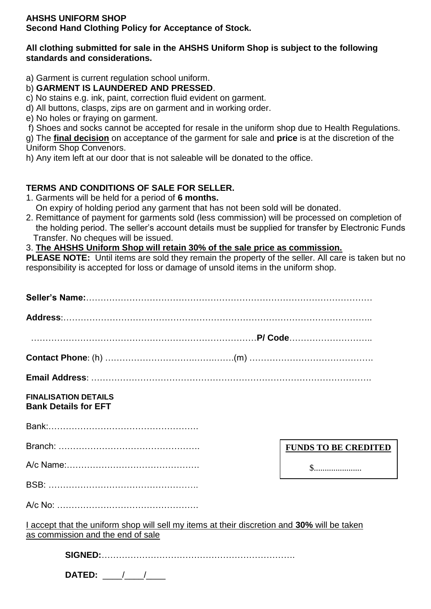# **AHSHS UNIFORM SHOP**

**Second Hand Clothing Policy for Acceptance of Stock.**

## **All clothing submitted for sale in the AHSHS Uniform Shop is subject to the following standards and considerations.**

a) Garment is current regulation school uniform.

b) **GARMENT IS LAUNDERED AND PRESSED**.

c) No stains e.g. ink, paint, correction fluid evident on garment.

d) All buttons, clasps, zips are on garment and in working order.

e) No holes or fraying on garment.

f) Shoes and socks cannot be accepted for resale in the uniform shop due to Health Regulations.

g) The **final decision** on acceptance of the garment for sale and **price** is at the discretion of the Uniform Shop Convenors.

h) Any item left at our door that is not saleable will be donated to the office.

# **TERMS AND CONDITIONS OF SALE FOR SELLER.**

1. Garments will be held for a period of **6 months.**

On expiry of holding period any garment that has not been sold will be donated.

2. Remittance of payment for garments sold (less commission) will be processed on completion of the holding period. The seller's account details must be supplied for transfer by Electronic Funds Transfer. No cheques will be issued.

#### 3. **The AHSHS Uniform Shop will retain 30% of the sale price as commission.**

**PLEASE NOTE:** Until items are sold they remain the property of the seller. All care is taken but no responsibility is accepted for loss or damage of unsold items in the uniform shop.

| <b>FINALISATION DETAILS</b><br><b>Bank Details for EFT</b>                                                                       |                             |
|----------------------------------------------------------------------------------------------------------------------------------|-----------------------------|
|                                                                                                                                  |                             |
|                                                                                                                                  | <b>FUNDS TO BE CREDITED</b> |
|                                                                                                                                  | $S$                         |
|                                                                                                                                  |                             |
|                                                                                                                                  |                             |
| I accept that the uniform shop will sell my items at their discretion and 30% will be taken<br>as commission and the end of sale |                             |
|                                                                                                                                  |                             |
| DATED: $\frac{1}{\sqrt{1-\frac{1}{2}}}$                                                                                          |                             |